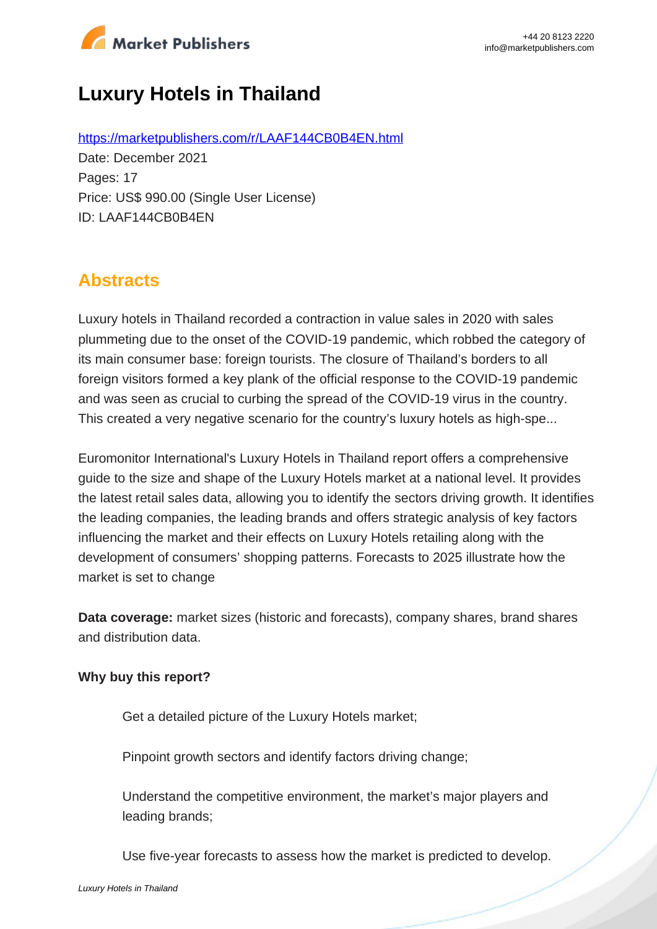

# **Luxury Hotels in Thailand**

https://marketpublishers.com/r/LAAF144CB0B4EN.html Date: December 2021 Pages: 17 Price: US\$ 990.00 (Single User License) ID: LAAF144CB0B4EN

## **Abstracts**

Luxury hotels in Thailand recorded a contraction in value sales in 2020 with sales plummeting due to the onset of the COVID-19 pandemic, which robbed the category of its main consumer base: foreign tourists. The closure of Thailand's borders to all foreign visitors formed a key plank of the official response to the COVID-19 pandemic and was seen as crucial to curbing the spread of the COVID-19 virus in the country. This created a very negative scenario for the country's luxury hotels as high-spe...

Euromonitor International's Luxury Hotels in Thailand report offers a comprehensive guide to the size and shape of the Luxury Hotels market at a national level. It provides the latest retail sales data, allowing you to identify the sectors driving growth. It identifies the leading companies, the leading brands and offers strategic analysis of key factors influencing the market and their effects on Luxury Hotels retailing along with the development of consumers' shopping patterns. Forecasts to 2025 illustrate how the market is set to change

**Data coverage:** market sizes (historic and forecasts), company shares, brand shares and distribution data.

#### **Why buy this report?**

Get a detailed picture of the Luxury Hotels market;

Pinpoint growth sectors and identify factors driving change;

Understand the competitive environment, the market's major players and leading brands;

Use five-year forecasts to assess how the market is predicted to develop.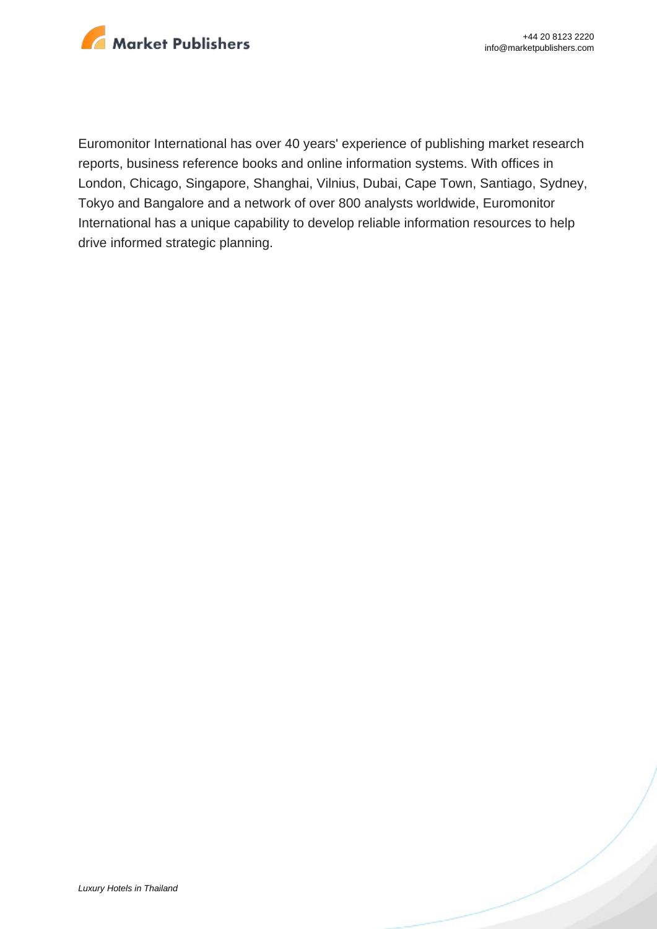

Euromonitor International has over 40 years' experience of publishing market research reports, business reference books and online information systems. With offices in London, Chicago, Singapore, Shanghai, Vilnius, Dubai, Cape Town, Santiago, Sydney, Tokyo and Bangalore and a network of over 800 analysts worldwide, Euromonitor International has a unique capability to develop reliable information resources to help drive informed strategic planning.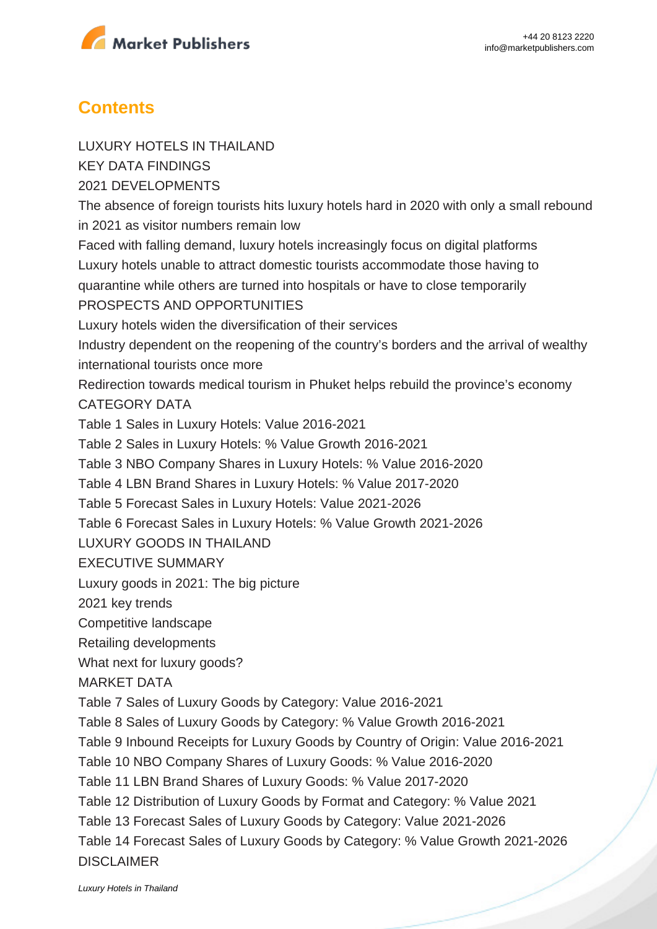

## **Contents**

LUXURY HOTELS IN THAILAND KEY DATA FINDINGS 2021 DEVELOPMENTS The absence of foreign tourists hits luxury hotels hard in 2020 with only a small rebound in 2021 as visitor numbers remain low Faced with falling demand, luxury hotels increasingly focus on digital platforms Luxury hotels unable to attract domestic tourists accommodate those having to quarantine while others are turned into hospitals or have to close temporarily PROSPECTS AND OPPORTUNITIES Luxury hotels widen the diversification of their services Industry dependent on the reopening of the country's borders and the arrival of wealthy international tourists once more Redirection towards medical tourism in Phuket helps rebuild the province's economy CATEGORY DATA Table 1 Sales in Luxury Hotels: Value 2016-2021 Table 2 Sales in Luxury Hotels: % Value Growth 2016-2021 Table 3 NBO Company Shares in Luxury Hotels: % Value 2016-2020 Table 4 LBN Brand Shares in Luxury Hotels: % Value 2017-2020 Table 5 Forecast Sales in Luxury Hotels: Value 2021-2026 Table 6 Forecast Sales in Luxury Hotels: % Value Growth 2021-2026 LUXURY GOODS IN THAILAND EXECUTIVE SUMMARY Luxury goods in 2021: The big picture 2021 key trends Competitive landscape Retailing developments What next for luxury goods? MARKET DATA Table 7 Sales of Luxury Goods by Category: Value 2016-2021 Table 8 Sales of Luxury Goods by Category: % Value Growth 2016-2021 Table 9 Inbound Receipts for Luxury Goods by Country of Origin: Value 2016-2021 Table 10 NBO Company Shares of Luxury Goods: % Value 2016-2020 Table 11 LBN Brand Shares of Luxury Goods: % Value 2017-2020 Table 12 Distribution of Luxury Goods by Format and Category: % Value 2021 Table 13 Forecast Sales of Luxury Goods by Category: Value 2021-2026 Table 14 Forecast Sales of Luxury Goods by Category: % Value Growth 2021-2026 DISCLAIMER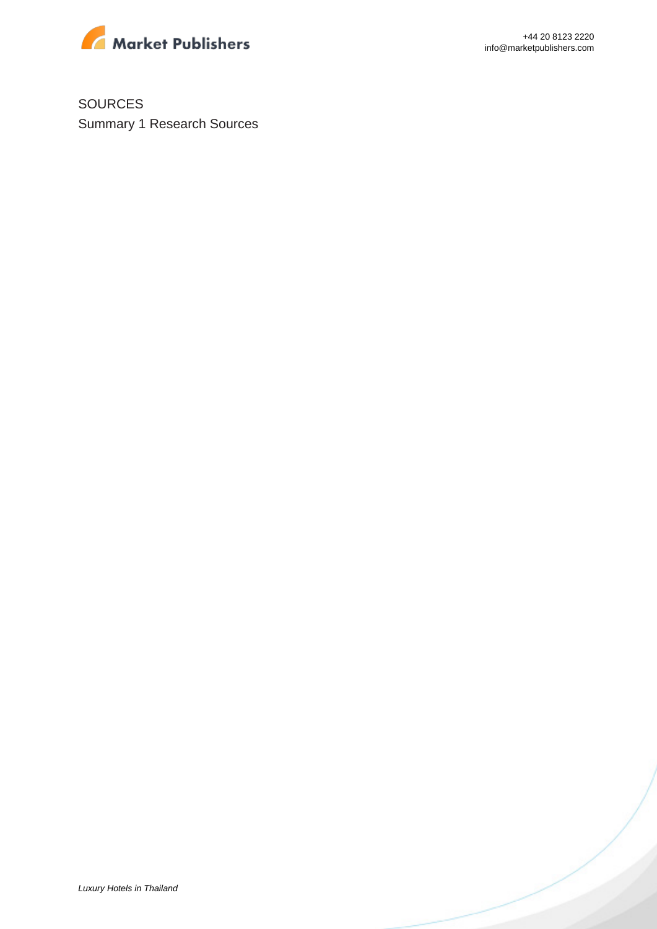

SOURCES Summary 1 Research Sources